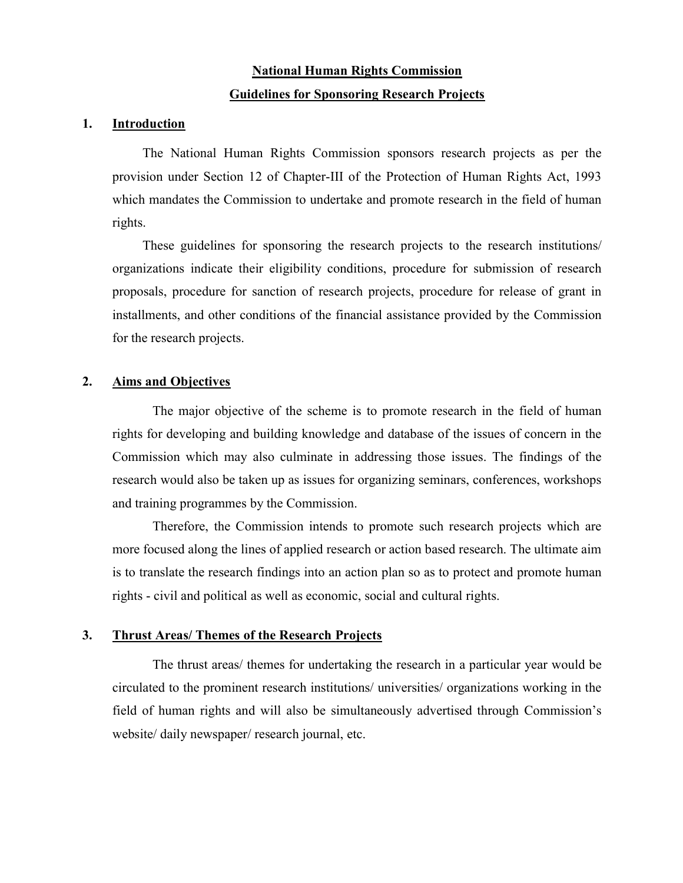# National Human Rights Commission Guidelines for Sponsoring Research Projects

#### 1. Introduction

The National Human Rights Commission sponsors research projects as per the provision under Section 12 of Chapter-III of the Protection of Human Rights Act, 1993 which mandates the Commission to undertake and promote research in the field of human rights.

These guidelines for sponsoring the research projects to the research institutions/ organizations indicate their eligibility conditions, procedure for submission of research proposals, procedure for sanction of research projects, procedure for release of grant in installments, and other conditions of the financial assistance provided by the Commission for the research projects.

#### 2. Aims and Objectives

The major objective of the scheme is to promote research in the field of human rights for developing and building knowledge and database of the issues of concern in the Commission which may also culminate in addressing those issues. The findings of the research would also be taken up as issues for organizing seminars, conferences, workshops and training programmes by the Commission.

Therefore, the Commission intends to promote such research projects which are more focused along the lines of applied research or action based research. The ultimate aim is to translate the research findings into an action plan so as to protect and promote human rights - civil and political as well as economic, social and cultural rights.

#### 3. Thrust Areas/ Themes of the Research Projects

The thrust areas/ themes for undertaking the research in a particular year would be circulated to the prominent research institutions/ universities/ organizations working in the field of human rights and will also be simultaneously advertised through Commission's website/ daily newspaper/ research journal, etc.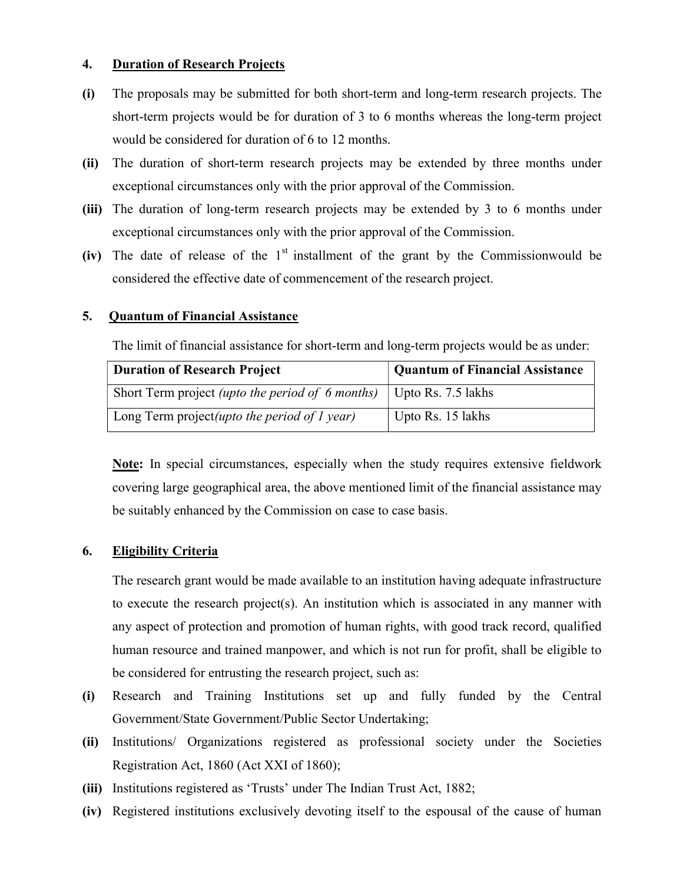### 4. Duration of Research Projects

- (i) The proposals may be submitted for both short-term and long-term research projects. The short-term projects would be for duration of 3 to 6 months whereas the long-term project would be considered for duration of 6 to 12 months.
- (ii) The duration of short-term research projects may be extended by three months under exceptional circumstances only with the prior approval of the Commission.
- (iii) The duration of long-term research projects may be extended by 3 to 6 months under exceptional circumstances only with the prior approval of the Commission.
- (iv) The date of release of the  $1<sup>st</sup>$  installment of the grant by the Commissionwould be considered the effective date of commencement of the research project.

### 5. Quantum of Financial Assistance

The limit of financial assistance for short-term and long-term projects would be as under:

| <b>Duration of Research Project</b>                                          | <b>Quantum of Financial Assistance</b> |  |  |  |  |
|------------------------------------------------------------------------------|----------------------------------------|--|--|--|--|
| Short Term project <i>(upto the period of 6 months)</i>   Upto Rs. 7.5 lakhs |                                        |  |  |  |  |
| Long Term project( <i>upto the period of 1 year</i> )                        | Upto Rs. 15 lakhs                      |  |  |  |  |

Note: In special circumstances, especially when the study requires extensive fieldwork covering large geographical area, the above mentioned limit of the financial assistance may be suitably enhanced by the Commission on case to case basis.

### 6. Eligibility Criteria

The research grant would be made available to an institution having adequate infrastructure to execute the research project(s). An institution which is associated in any manner with any aspect of protection and promotion of human rights, with good track record, qualified human resource and trained manpower, and which is not run for profit, shall be eligible to be considered for entrusting the research project, such as:

- (i) Research and Training Institutions set up and fully funded by the Central Government/State Government/Public Sector Undertaking;
- (ii) Institutions/ Organizations registered as professional society under the Societies Registration Act, 1860 (Act XXI of 1860);
- (iii) Institutions registered as 'Trusts' under The Indian Trust Act, 1882;
- (iv) Registered institutions exclusively devoting itself to the espousal of the cause of human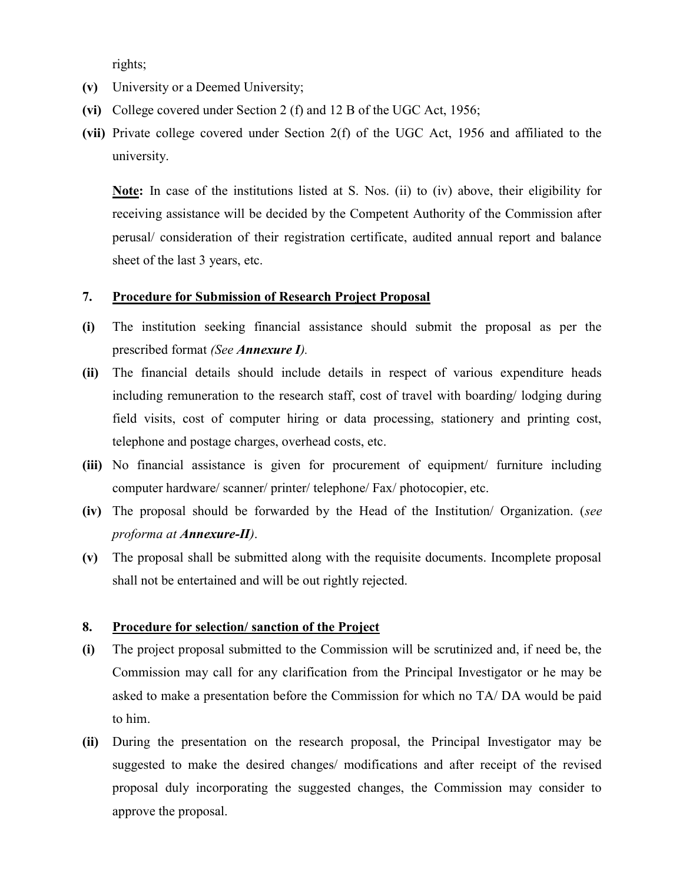rights;

- (v) University or a Deemed University;
- (vi) College covered under Section 2 (f) and 12 B of the UGC Act, 1956;
- (vii) Private college covered under Section 2(f) of the UGC Act, 1956 and affiliated to the university.

Note: In case of the institutions listed at S. Nos. (ii) to (iv) above, their eligibility for receiving assistance will be decided by the Competent Authority of the Commission after perusal/ consideration of their registration certificate, audited annual report and balance sheet of the last 3 years, etc.

#### 7. Procedure for Submission of Research Project Proposal

- (i) The institution seeking financial assistance should submit the proposal as per the prescribed format (See Annexure I).
- (ii) The financial details should include details in respect of various expenditure heads including remuneration to the research staff, cost of travel with boarding/ lodging during field visits, cost of computer hiring or data processing, stationery and printing cost, telephone and postage charges, overhead costs, etc.
- (iii) No financial assistance is given for procurement of equipment/ furniture including computer hardware/ scanner/ printer/ telephone/ Fax/ photocopier, etc.
- (iv) The proposal should be forwarded by the Head of the Institution/ Organization. (see proforma at Annexure-II).
- (v) The proposal shall be submitted along with the requisite documents. Incomplete proposal shall not be entertained and will be out rightly rejected.

#### 8. Procedure for selection/ sanction of the Project

- (i) The project proposal submitted to the Commission will be scrutinized and, if need be, the Commission may call for any clarification from the Principal Investigator or he may be asked to make a presentation before the Commission for which no TA/ DA would be paid to him.
- (ii) During the presentation on the research proposal, the Principal Investigator may be suggested to make the desired changes/ modifications and after receipt of the revised proposal duly incorporating the suggested changes, the Commission may consider to approve the proposal.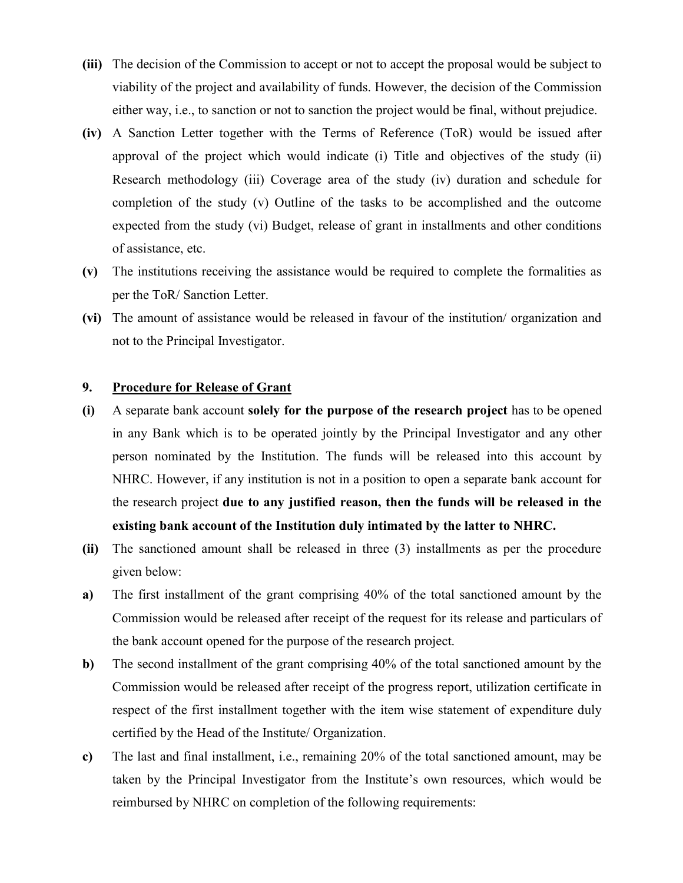- (iii) The decision of the Commission to accept or not to accept the proposal would be subject to viability of the project and availability of funds. However, the decision of the Commission either way, i.e., to sanction or not to sanction the project would be final, without prejudice.
- (iv) A Sanction Letter together with the Terms of Reference (ToR) would be issued after approval of the project which would indicate (i) Title and objectives of the study (ii) Research methodology (iii) Coverage area of the study (iv) duration and schedule for completion of the study (v) Outline of the tasks to be accomplished and the outcome expected from the study (vi) Budget, release of grant in installments and other conditions of assistance, etc.
- (v) The institutions receiving the assistance would be required to complete the formalities as per the ToR/ Sanction Letter.
- (vi) The amount of assistance would be released in favour of the institution/ organization and not to the Principal Investigator.

### 9. Procedure for Release of Grant

- (i) A separate bank account solely for the purpose of the research project has to be opened in any Bank which is to be operated jointly by the Principal Investigator and any other person nominated by the Institution. The funds will be released into this account by NHRC. However, if any institution is not in a position to open a separate bank account for the research project due to any justified reason, then the funds will be released in the existing bank account of the Institution duly intimated by the latter to NHRC.
- (ii) The sanctioned amount shall be released in three (3) installments as per the procedure given below:
- a) The first installment of the grant comprising 40% of the total sanctioned amount by the Commission would be released after receipt of the request for its release and particulars of the bank account opened for the purpose of the research project.
- b) The second installment of the grant comprising 40% of the total sanctioned amount by the Commission would be released after receipt of the progress report, utilization certificate in respect of the first installment together with the item wise statement of expenditure duly certified by the Head of the Institute/ Organization.
- c) The last and final installment, i.e., remaining 20% of the total sanctioned amount, may be taken by the Principal Investigator from the Institute's own resources, which would be reimbursed by NHRC on completion of the following requirements: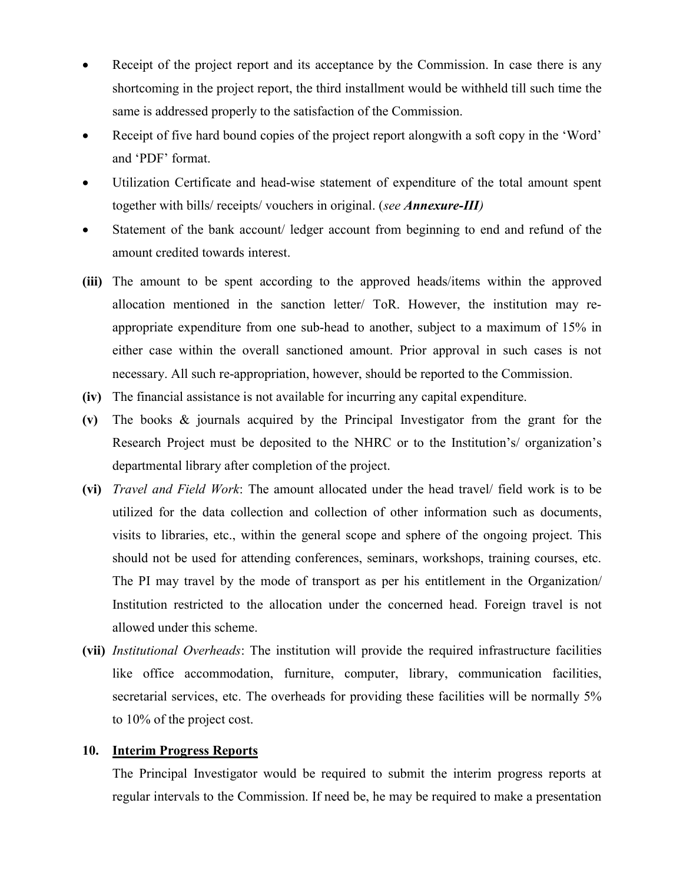- Receipt of the project report and its acceptance by the Commission. In case there is any shortcoming in the project report, the third installment would be withheld till such time the same is addressed properly to the satisfaction of the Commission.
- Receipt of five hard bound copies of the project report alongwith a soft copy in the 'Word' and 'PDF' format.
- Utilization Certificate and head-wise statement of expenditure of the total amount spent together with bills/ receipts/ vouchers in original. (see Annexure-III)
- Statement of the bank account/ ledger account from beginning to end and refund of the amount credited towards interest.
- (iii) The amount to be spent according to the approved heads/items within the approved allocation mentioned in the sanction letter/ ToR. However, the institution may reappropriate expenditure from one sub-head to another, subject to a maximum of 15% in either case within the overall sanctioned amount. Prior approval in such cases is not necessary. All such re-appropriation, however, should be reported to the Commission.
- (iv) The financial assistance is not available for incurring any capital expenditure.
- (v) The books & journals acquired by the Principal Investigator from the grant for the Research Project must be deposited to the NHRC or to the Institution's/ organization's departmental library after completion of the project.
- (vi) Travel and Field Work: The amount allocated under the head travel/ field work is to be utilized for the data collection and collection of other information such as documents, visits to libraries, etc., within the general scope and sphere of the ongoing project. This should not be used for attending conferences, seminars, workshops, training courses, etc. The PI may travel by the mode of transport as per his entitlement in the Organization/ Institution restricted to the allocation under the concerned head. Foreign travel is not allowed under this scheme.
- (vii) Institutional Overheads: The institution will provide the required infrastructure facilities like office accommodation, furniture, computer, library, communication facilities, secretarial services, etc. The overheads for providing these facilities will be normally 5% to 10% of the project cost.

### 10. Interim Progress Reports

The Principal Investigator would be required to submit the interim progress reports at regular intervals to the Commission. If need be, he may be required to make a presentation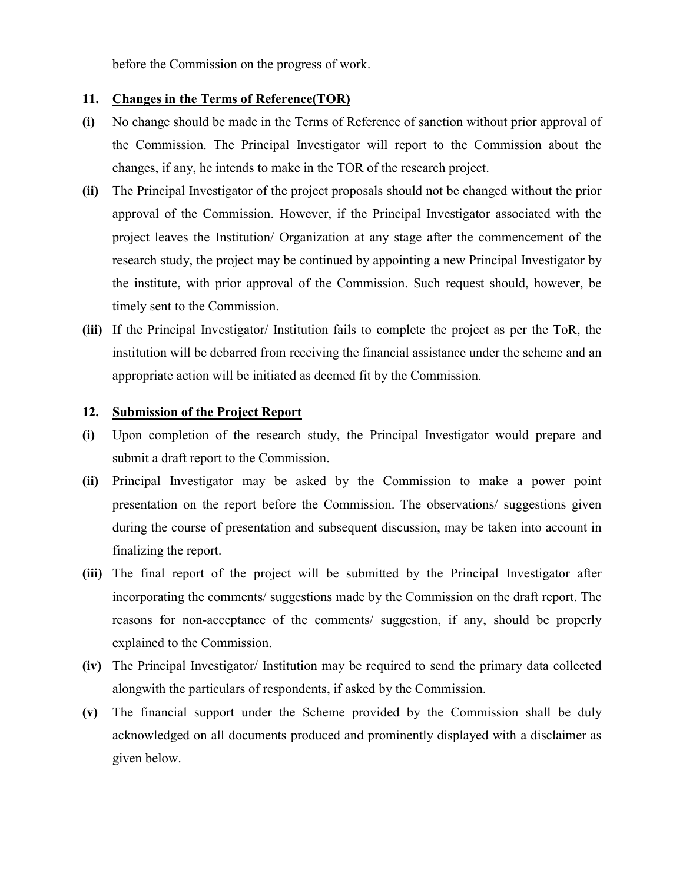before the Commission on the progress of work.

### 11. Changes in the Terms of Reference(TOR)

- (i) No change should be made in the Terms of Reference of sanction without prior approval of the Commission. The Principal Investigator will report to the Commission about the changes, if any, he intends to make in the TOR of the research project.
- (ii) The Principal Investigator of the project proposals should not be changed without the prior approval of the Commission. However, if the Principal Investigator associated with the project leaves the Institution/ Organization at any stage after the commencement of the research study, the project may be continued by appointing a new Principal Investigator by the institute, with prior approval of the Commission. Such request should, however, be timely sent to the Commission.
- (iii) If the Principal Investigator/ Institution fails to complete the project as per the ToR, the institution will be debarred from receiving the financial assistance under the scheme and an appropriate action will be initiated as deemed fit by the Commission.

#### 12. Submission of the Project Report

- (i) Upon completion of the research study, the Principal Investigator would prepare and submit a draft report to the Commission.
- (ii) Principal Investigator may be asked by the Commission to make a power point presentation on the report before the Commission. The observations/ suggestions given during the course of presentation and subsequent discussion, may be taken into account in finalizing the report.
- (iii) The final report of the project will be submitted by the Principal Investigator after incorporating the comments/ suggestions made by the Commission on the draft report. The reasons for non-acceptance of the comments/ suggestion, if any, should be properly explained to the Commission.
- (iv) The Principal Investigator/ Institution may be required to send the primary data collected alongwith the particulars of respondents, if asked by the Commission.
- (v) The financial support under the Scheme provided by the Commission shall be duly acknowledged on all documents produced and prominently displayed with a disclaimer as given below.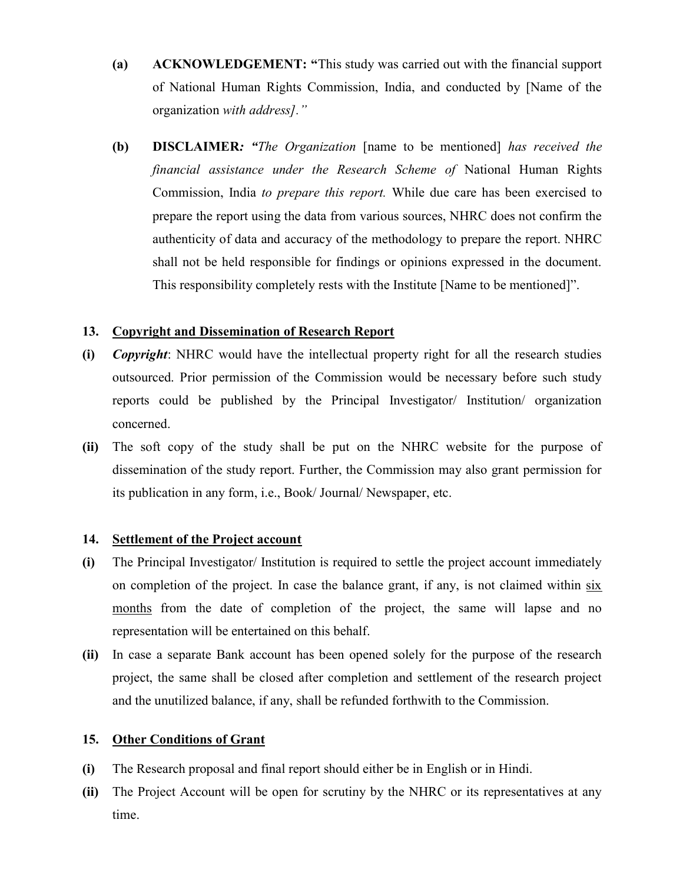- (a) ACKNOWLEDGEMENT: "This study was carried out with the financial support of National Human Rights Commission, India, and conducted by [Name of the organization with address]."
- (b) DISCLAIMER: "The Organization [name to be mentioned] has received the financial assistance under the Research Scheme of National Human Rights Commission, India to prepare this report. While due care has been exercised to prepare the report using the data from various sources, NHRC does not confirm the authenticity of data and accuracy of the methodology to prepare the report. NHRC shall not be held responsible for findings or opinions expressed in the document. This responsibility completely rests with the Institute [Name to be mentioned]".

### 13. Copyright and Dissemination of Research Report

- (i) Copyright: NHRC would have the intellectual property right for all the research studies outsourced. Prior permission of the Commission would be necessary before such study reports could be published by the Principal Investigator/ Institution/ organization concerned.
- (ii) The soft copy of the study shall be put on the NHRC website for the purpose of dissemination of the study report. Further, the Commission may also grant permission for its publication in any form, i.e., Book/ Journal/ Newspaper, etc.

### 14. Settlement of the Project account

- (i) The Principal Investigator/ Institution is required to settle the project account immediately on completion of the project. In case the balance grant, if any, is not claimed within six months from the date of completion of the project, the same will lapse and no representation will be entertained on this behalf.
- (ii) In case a separate Bank account has been opened solely for the purpose of the research project, the same shall be closed after completion and settlement of the research project and the unutilized balance, if any, shall be refunded forthwith to the Commission.

### 15. Other Conditions of Grant

- (i) The Research proposal and final report should either be in English or in Hindi.
- (ii) The Project Account will be open for scrutiny by the NHRC or its representatives at any time.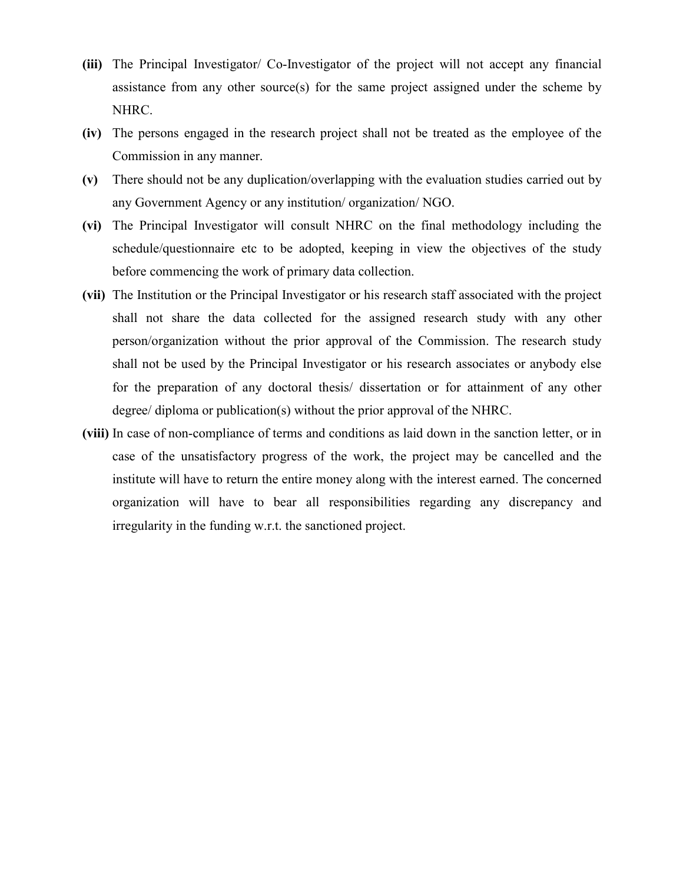- (iii) The Principal Investigator/ Co-Investigator of the project will not accept any financial assistance from any other source(s) for the same project assigned under the scheme by NHRC.
- (iv) The persons engaged in the research project shall not be treated as the employee of the Commission in any manner.
- (v) There should not be any duplication/overlapping with the evaluation studies carried out by any Government Agency or any institution/ organization/ NGO.
- (vi) The Principal Investigator will consult NHRC on the final methodology including the schedule/questionnaire etc to be adopted, keeping in view the objectives of the study before commencing the work of primary data collection.
- (vii) The Institution or the Principal Investigator or his research staff associated with the project shall not share the data collected for the assigned research study with any other person/organization without the prior approval of the Commission. The research study shall not be used by the Principal Investigator or his research associates or anybody else for the preparation of any doctoral thesis/ dissertation or for attainment of any other degree/ diploma or publication(s) without the prior approval of the NHRC.
- (viii) In case of non-compliance of terms and conditions as laid down in the sanction letter, or in case of the unsatisfactory progress of the work, the project may be cancelled and the institute will have to return the entire money along with the interest earned. The concerned organization will have to bear all responsibilities regarding any discrepancy and irregularity in the funding w.r.t. the sanctioned project.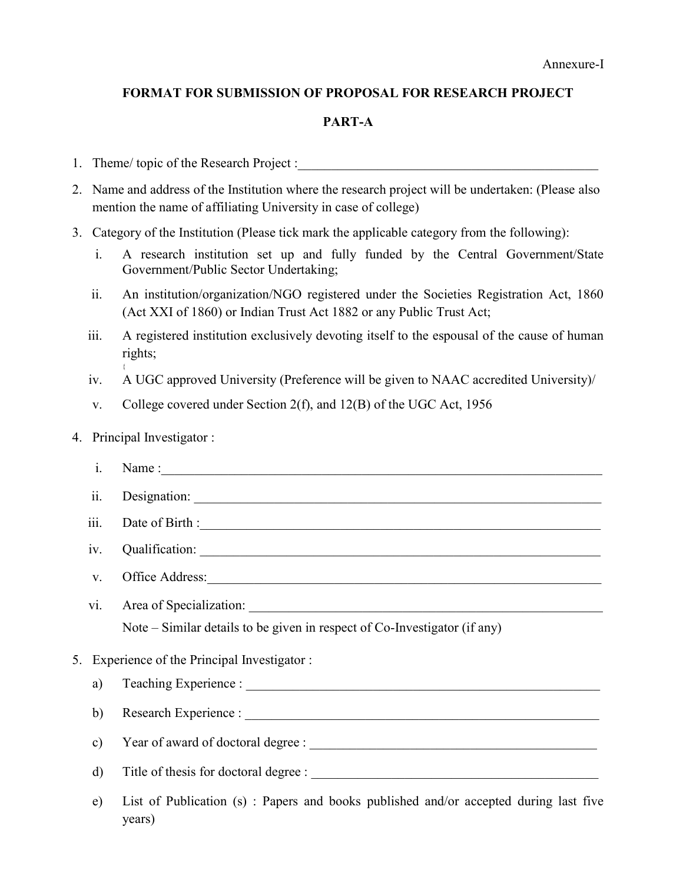### FORMAT FOR SUBMISSION OF PROPOSAL FOR RESEARCH PROJECT

### PART-A

- 1. Theme/ topic of the Research Project :
- 2. Name and address of the Institution where the research project will be undertaken: (Please also mention the name of affiliating University in case of college)
- 3. Category of the Institution (Please tick mark the applicable category from the following):
	- i. A research institution set up and fully funded by the Central Government/State Government/Public Sector Undertaking;
	- ii. An institution/organization/NGO registered under the Societies Registration Act, 1860 (Act XXI of 1860) or Indian Trust Act 1882 or any Public Trust Act;
	- iii. A registered institution exclusively devoting itself to the espousal of the cause of human rights;
	- iv. A UGC approved University (Preference will be given to NAAC accredited University)/
	- v. College covered under Section 2(f), and 12(B) of the UGC Act, 1956

### 4. Principal Investigator :

{

| i.   |                                                                                                 | Name:                                                                     |  |  |  |  |  |  |  |
|------|-------------------------------------------------------------------------------------------------|---------------------------------------------------------------------------|--|--|--|--|--|--|--|
| ii.  |                                                                                                 |                                                                           |  |  |  |  |  |  |  |
| iii. |                                                                                                 | Date of Birth :                                                           |  |  |  |  |  |  |  |
| iv.  |                                                                                                 |                                                                           |  |  |  |  |  |  |  |
|      | Office Address:<br>V.                                                                           |                                                                           |  |  |  |  |  |  |  |
| V1.  |                                                                                                 |                                                                           |  |  |  |  |  |  |  |
|      |                                                                                                 | Note – Similar details to be given in respect of Co-Investigator (if any) |  |  |  |  |  |  |  |
|      | 5. Experience of the Principal Investigator:                                                    |                                                                           |  |  |  |  |  |  |  |
|      | a)                                                                                              |                                                                           |  |  |  |  |  |  |  |
|      | b)<br>$\mathbf{c})$                                                                             |                                                                           |  |  |  |  |  |  |  |
|      |                                                                                                 |                                                                           |  |  |  |  |  |  |  |
|      | $\mathbf{d}$                                                                                    |                                                                           |  |  |  |  |  |  |  |
| e)   | List of Publication (s) : Papers and books published and/or accepted during last five<br>years) |                                                                           |  |  |  |  |  |  |  |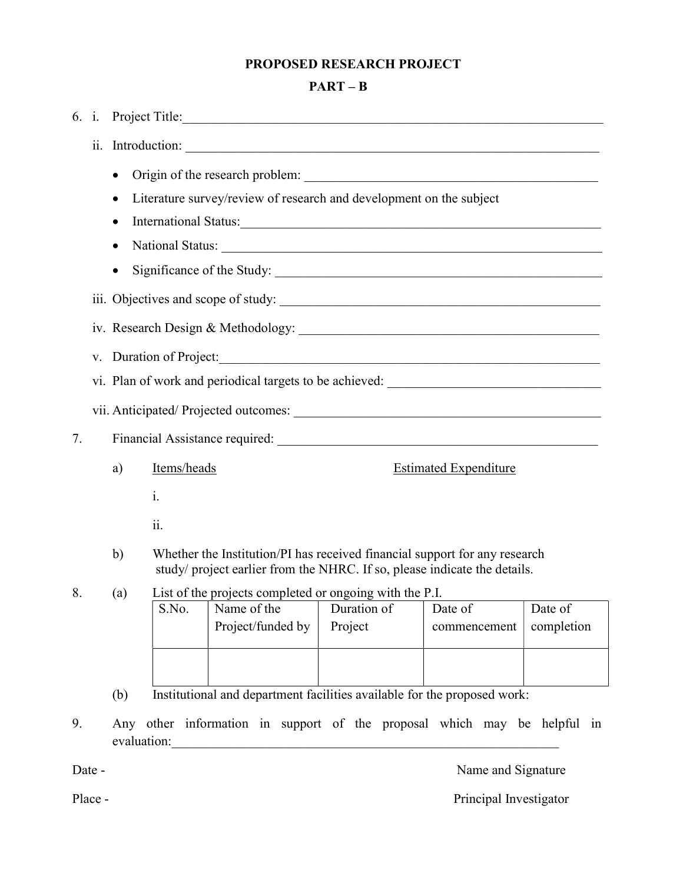## PROPOSED RESEARCH PROJECT

## PART – B

| 6. i.                                                                           |                                                                                                                                                                         |                                                                                                                   |                                                                                                                      |                                                                                   |                              |                    |            |  |  |  |  |  |
|---------------------------------------------------------------------------------|-------------------------------------------------------------------------------------------------------------------------------------------------------------------------|-------------------------------------------------------------------------------------------------------------------|----------------------------------------------------------------------------------------------------------------------|-----------------------------------------------------------------------------------|------------------------------|--------------------|------------|--|--|--|--|--|
|                                                                                 |                                                                                                                                                                         | ii. Introduction:                                                                                                 |                                                                                                                      |                                                                                   |                              |                    |            |  |  |  |  |  |
|                                                                                 |                                                                                                                                                                         | $\bullet$<br>Literature survey/review of research and development on the subject<br>$\bullet$<br>National Status: |                                                                                                                      |                                                                                   |                              |                    |            |  |  |  |  |  |
|                                                                                 | V.                                                                                                                                                                      | Duration of Project:                                                                                              |                                                                                                                      |                                                                                   |                              |                    |            |  |  |  |  |  |
|                                                                                 |                                                                                                                                                                         |                                                                                                                   |                                                                                                                      | vi. Plan of work and periodical targets to be achieved: _________________________ |                              |                    |            |  |  |  |  |  |
|                                                                                 |                                                                                                                                                                         |                                                                                                                   |                                                                                                                      |                                                                                   |                              |                    |            |  |  |  |  |  |
| 7.                                                                              |                                                                                                                                                                         |                                                                                                                   |                                                                                                                      |                                                                                   |                              |                    |            |  |  |  |  |  |
|                                                                                 |                                                                                                                                                                         | a)                                                                                                                | Items/heads                                                                                                          |                                                                                   | <b>Estimated Expenditure</b> |                    |            |  |  |  |  |  |
|                                                                                 |                                                                                                                                                                         |                                                                                                                   | i.                                                                                                                   |                                                                                   |                              |                    |            |  |  |  |  |  |
|                                                                                 | 11.                                                                                                                                                                     |                                                                                                                   |                                                                                                                      |                                                                                   |                              |                    |            |  |  |  |  |  |
|                                                                                 | Whether the Institution/PI has received financial support for any research<br>$\mathbf{b}$<br>study/ project earlier from the NHRC. If so, please indicate the details. |                                                                                                                   |                                                                                                                      |                                                                                   |                              |                    |            |  |  |  |  |  |
| 8.                                                                              |                                                                                                                                                                         | (a)                                                                                                               | List of the projects completed or ongoing with the P.I.<br>S.No.<br>Name of the<br>Duration of<br>Date of<br>Date of |                                                                                   |                              |                    |            |  |  |  |  |  |
|                                                                                 |                                                                                                                                                                         |                                                                                                                   |                                                                                                                      | Project/funded by                                                                 | Project                      | commencement       | completion |  |  |  |  |  |
|                                                                                 |                                                                                                                                                                         |                                                                                                                   |                                                                                                                      |                                                                                   |                              |                    |            |  |  |  |  |  |
|                                                                                 |                                                                                                                                                                         |                                                                                                                   |                                                                                                                      |                                                                                   |                              |                    |            |  |  |  |  |  |
| Institutional and department facilities available for the proposed work:<br>(b) |                                                                                                                                                                         |                                                                                                                   |                                                                                                                      |                                                                                   |                              |                    |            |  |  |  |  |  |
| 9.                                                                              |                                                                                                                                                                         | Any other information in support of the proposal which may be helpful in<br>evaluation:                           |                                                                                                                      |                                                                                   |                              |                    |            |  |  |  |  |  |
|                                                                                 | Date -                                                                                                                                                                  |                                                                                                                   |                                                                                                                      |                                                                                   |                              | Name and Signature |            |  |  |  |  |  |

Place - Principal Investigator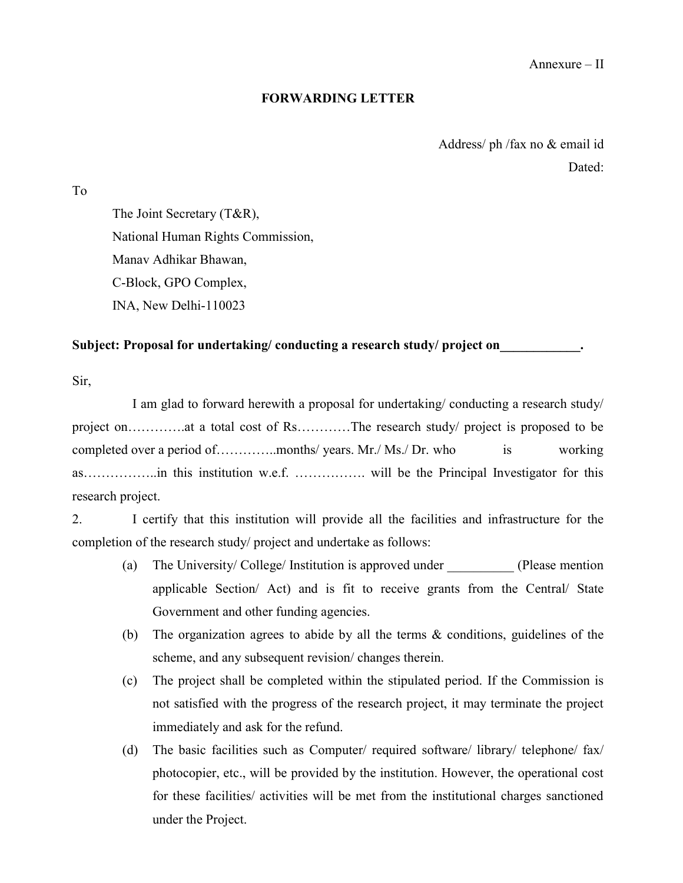### FORWARDING LETTER

Address/ ph /fax no & email id Dated:

To

The Joint Secretary (T&R), National Human Rights Commission, Manav Adhikar Bhawan, C-Block, GPO Complex, INA, New Delhi-110023

### Subject: Proposal for undertaking/ conducting a research study/ project on

Sir,

I am glad to forward herewith a proposal for undertaking/ conducting a research study/ project on………….at a total cost of Rs…………The research study/ project is proposed to be completed over a period of…………..months/ years. Mr./ Ms./ Dr. who is working as……………..in this institution w.e.f. ……………. will be the Principal Investigator for this research project.

2. I certify that this institution will provide all the facilities and infrastructure for the completion of the research study/ project and undertake as follows:

- (a) The University/ College/ Institution is approved under (Please mention applicable Section/ Act) and is fit to receive grants from the Central/ State Government and other funding agencies.
- (b) The organization agrees to abide by all the terms & conditions, guidelines of the scheme, and any subsequent revision/ changes therein.
- (c) The project shall be completed within the stipulated period. If the Commission is not satisfied with the progress of the research project, it may terminate the project immediately and ask for the refund.
- (d) The basic facilities such as Computer/ required software/ library/ telephone/ fax/ photocopier, etc., will be provided by the institution. However, the operational cost for these facilities/ activities will be met from the institutional charges sanctioned under the Project.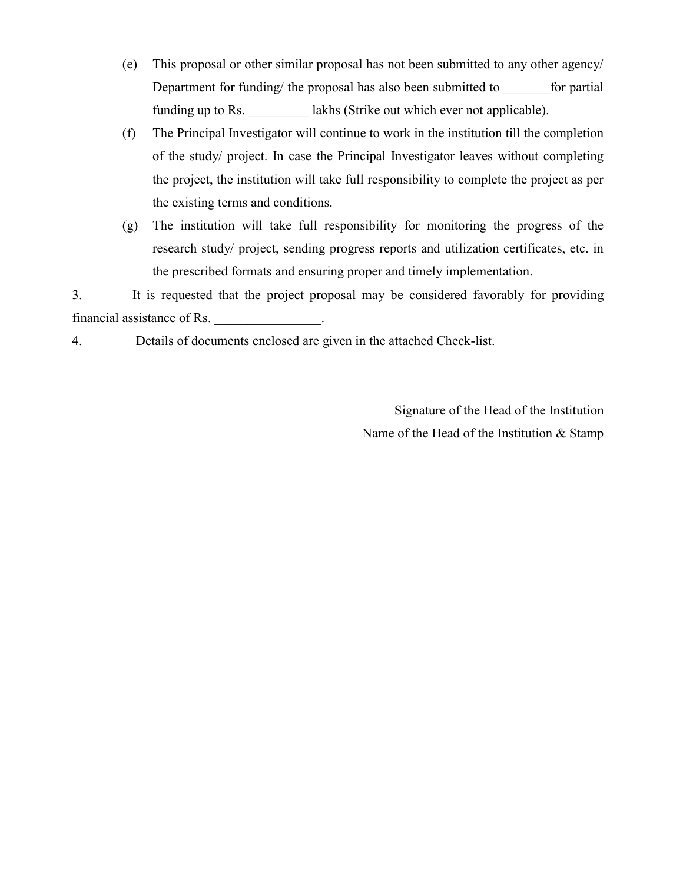- (e) This proposal or other similar proposal has not been submitted to any other agency/ Department for funding/ the proposal has also been submitted to for partial funding up to Rs.  $lakhs$  (Strike out which ever not applicable).
- (f) The Principal Investigator will continue to work in the institution till the completion of the study/ project. In case the Principal Investigator leaves without completing the project, the institution will take full responsibility to complete the project as per the existing terms and conditions.
- (g) The institution will take full responsibility for monitoring the progress of the research study/ project, sending progress reports and utilization certificates, etc. in the prescribed formats and ensuring proper and timely implementation.

3. It is requested that the project proposal may be considered favorably for providing financial assistance of Rs. \_\_\_\_\_\_\_\_\_\_\_\_\_\_\_\_.

4. Details of documents enclosed are given in the attached Check-list.

Signature of the Head of the Institution Name of the Head of the Institution & Stamp